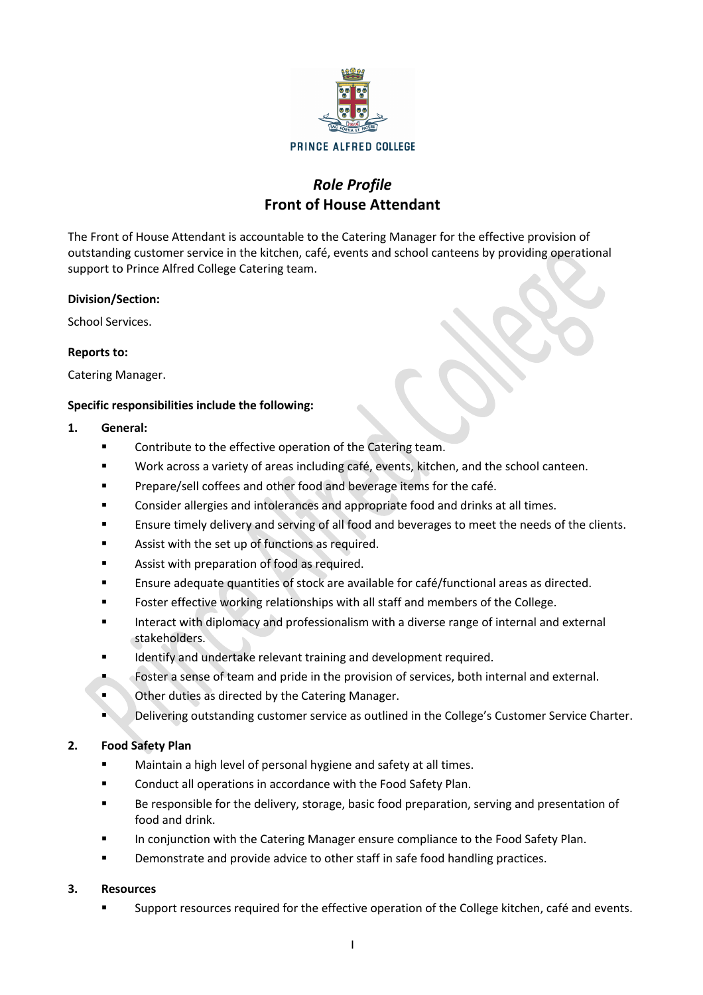

# *Role Profile* **Front of House Attendant**

The Front of House Attendant is accountable to the Catering Manager for the effective provision of outstanding customer service in the kitchen, café, events and school canteens by providing operational support to Prince Alfred College Catering team.

#### **Division/Section:**

School Services.

#### **Reports to:**

Catering Manager.

#### **Specific responsibilities include the following:**

#### **1. General:**

- Contribute to the effective operation of the Catering team.
- Work across a variety of areas including café, events, kitchen, and the school canteen.
- § Prepare/sell coffees and other food and beverage items for the café.
- § Consider allergies and intolerances and appropriate food and drinks at all times.
- § Ensure timely delivery and serving of all food and beverages to meet the needs of the clients.
- Assist with the set up of functions as required.
- Assist with preparation of food as required.
- § Ensure adequate quantities of stock are available for café/functional areas as directed.
- § Foster effective working relationships with all staff and members of the College.
- Interact with diplomacy and professionalism with a diverse range of internal and external stakeholders.
- Identify and undertake relevant training and development required.
- Foster a sense of team and pride in the provision of services, both internal and external.
- **Other duties as directed by the Catering Manager.**
- § Delivering outstanding customer service as outlined in the College's Customer Service Charter.

## **2. Food Safety Plan**

- Maintain a high level of personal hygiene and safety at all times.
- Conduct all operations in accordance with the Food Safety Plan.
- Be responsible for the delivery, storage, basic food preparation, serving and presentation of food and drink.
- In conjunction with the Catering Manager ensure compliance to the Food Safety Plan.
- Demonstrate and provide advice to other staff in safe food handling practices.

## **3. Resources**

Support resources required for the effective operation of the College kitchen, café and events.